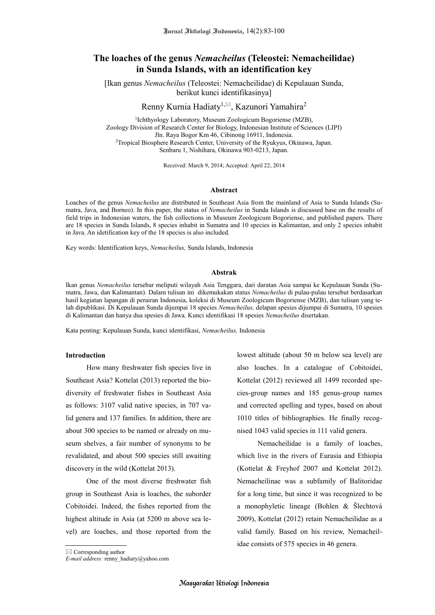# **The loaches of the genus** *Nemacheilus* **(Teleostei: Nemacheilidae) in Sunda Islands, with an identification key**

[Ikan genus *Nemacheilus* (Teleostei: Nemacheilidae) di Kepulauan Sunda, berikut kunci identifikasinya]

Renny Kurnia Hadiaty<sup>1,⊠</sup>, Kazunori Yamahira<sup>2</sup>

1 Ichthyology Laboratory, Museum Zoologicum Bogoriense (MZB), Zoology Division of Research Center for Biology, Indonesian Institute of Sciences (LIPI) Jln. Raya Bogor Km 46, Cibinong 16911, Indonesia. <sup>2</sup>Tropical Biosphere Research Center, University of the Ryukyus, Okinawa, Japan. Senbaru 1, Nishihara, Okinawa 903-0213, Japan.

Received: March 9, 2014; Accepted: April 22, 2014

#### **Abstract**

Loaches of the genus *Nemacheilus* are distributed in Southeast Asia from the mainland of Asia to Sunda Islands (Sumatra, Java, and Borneo). In this paper, the status of *Nemacheilus* in Sunda Islands is discussed base on the results of field trips in Indonesian waters, the fish collections in Museum Zoologicum Bogoriense, and published papers. There are 18 species in Sunda Islands, 8 species inhabit in Sumatra and 10 species in Kalimantan, and only 2 species inhabit in Java. An idetification key of the 18 species is also included.

Key words: Identification keys, *Nemacheilus,* Sunda Islands, Indonesia

#### **Abstrak**

Ikan genus *Nemacheilus* tersebar meliputi wilayah Asia Tenggara, dari daratan Asia sampai ke Kepulauan Sunda (Sumatra, Jawa, dan Kalimantan). Dalam tulisan ini dikemukakan status *Nemacheilus* di pulau-pulau tersebut berdasarkan hasil kegiatan lapangan di perairan Indonesia, koleksi di Museum Zoologicum Bogoriense (MZB), dan tulisan yang telah dipublikasi. Di Kepulauan Sunda dijumpai 18 species *Nemacheilus,* delapan spesies dijumpai di Sumatra, 10 spesies di Kalimantan dan hanya dua spesies di Jawa. Kunci identifikasi 18 spesies *Nemacheilus* disertakan.

Kata penting: Kepulauan Sunda, kunci identifikasi, *Nemacheilus,* Indonesia

### **Introduction**

How many freshwater fish species live in Southeast Asia? Kottelat (2013) reported the biodiversity of freshwater fishes in Southeast Asia as follows: 3107 valid native species, in 707 valid genera and 137 families. In addition, there are about 300 species to be named or already on museum shelves, a fair number of synonyms to be revalidated, and about 500 species still awaiting discovery in the wild (Kottelat 2013).

One of the most diverse freshwater fish group in Southeast Asia is loaches, the suborder Cobitoidei. Indeed, the fishes reported from the highest altitude in Asia (at 5200 m above sea level) are loaches, and those reported from the lowest altitude (about 50 m below sea level) are also loaches. In a catalogue of Cobitoidei, Kottelat (2012) reviewed all 1499 recorded species-group names and 185 genus-group names and corrected spelling and types, based on about 1010 titles of bibliographies. He finally recognised 1043 valid species in 111 valid genera.

Nemacheilidae is a family of loaches, which live in the rivers of Eurasia and Ethiopia (Kottelat & Freyhof 2007 and Kottelat 2012). Nemacheilinae was a subfamily of Balitoridae for a long time, but since it was recognized to be a monophyletic lineage (Bohlen & Šlechtová 2009), Kottelat (2012) retain Nemacheilidae as a valid family. Based on his review, Nemacheilidae consists of 575 species in 46 genera.

*E-mail address:* renny\_hadiaty@yahoo.com

 $\boxtimes$  Corresponding author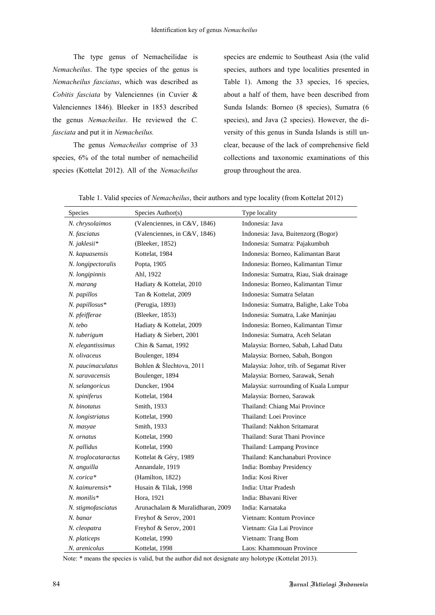The type genus of Nemacheilidae is *Nemacheilus*. The type species of the genus is *Nemacheilus fasciatus*, which was described as *Cobitis fasciata* by Valenciennes (in Cuvier & Valenciennes 1846)*.* Bleeker in 1853 described the genus *Nemacheilus*. He reviewed the *C. fasciata* and put it in *Nemacheilus.*

The genus *Nemacheilus* comprise of 33 species, 6% of the total number of nemacheilid species (Kottelat 2012). All of the *Nemacheilus* species are endemic to Southeast Asia (the valid species, authors and type localities presented in Table 1). Among the 33 species, 16 species, about a half of them, have been described from Sunda Islands: Borneo (8 species), Sumatra (6 species), and Java (2 species). However, the diversity of this genus in Sunda Islands is still unclear, because of the lack of comprehensive field collections and taxonomic examinations of this group throughout the area.

| <b>Species</b>       | Species Author(s)                | Type locality                           |
|----------------------|----------------------------------|-----------------------------------------|
| N. chrysolaimos      | (Valenciennes, in C&V, 1846)     | Indonesia: Java                         |
| N. fasciatus         | (Valenciennes, in C&V, 1846)     | Indonesia: Java, Buitenzorg (Bogor)     |
| N. jaklesii*         | (Bleeker, 1852)                  | Indonesia: Sumatra: Pajakumbuh          |
| N. kapuasensis       | Kottelat, 1984                   | Indonesia: Borneo, Kalimantan Barat     |
| N. longipectoralis   | Popta, 1905                      | Indonesia: Borneo, Kalimantan Timur     |
| N. longipinnis       | Ahl, 1922                        | Indonesia: Sumatra, Riau, Siak drainage |
| N. marang            | Hadiaty & Kottelat, 2010         | Indonesia: Borneo, Kalimantan Timur     |
| N. papillos          | Tan & Kottelat, 2009             | Indonesia: Sumatra Selatan              |
| N. papillosus*       | (Perugia, 1893)                  | Indonesia: Sumatra, Balighe, Lake Toba  |
| N. pfeifferae        | (Bleeker, 1853)                  | Indonesia: Sumatra, Lake Maninjau       |
| $N.$ tebo            | Hadiaty & Kottelat, 2009         | Indonesia: Borneo, Kalimantan Timur     |
| N. tuberigum         | Hadiaty & Siebert, 2001          | Indonesia: Sumatra, Aceh Selatan        |
| N. elegantissimus    | Chin & Samat, 1992               | Malaysia: Borneo, Sabah, Lahad Datu     |
| N. olivaceus         | Boulenger, 1894                  | Malaysia: Borneo, Sabah, Bongon         |
| N. paucimaculatus    | Bohlen & Šlechtova, 2011         | Malaysia: Johor, trib. of Segamat River |
| N. saravacensis      | Boulenger, 1894                  | Malaysia: Borneo, Sarawak, Senah        |
| N. selangoricus      | Duncker, 1904                    | Malaysia: surrounding of Kuala Lumpur   |
| N. spiniferus        | Kottelat, 1984                   | Malaysia: Borneo, Sarawak               |
| N. binotatus         | Smith, 1933                      | Thailand: Chiang Mai Province           |
| N. longistriatus     | Kottelat, 1990                   | Thailand: Loei Province                 |
| N. masyae            | Smith, 1933                      | Thailand: Nakhon Sritamarat             |
| N. ornatus           | Kottelat, 1990                   | Thailand: Surat Thani Province          |
| N. pallidus          | Kottelat, 1990                   | Thailand: Lampang Province              |
| N. troglocataractus  | Kottelat & Géry, 1989            | Thailand: Kanchanaburi Province         |
| N. anguilla          | Annandale, 1919                  | India: Bombay Presidency                |
| N. corica*           | (Hamilton, 1822)                 | India: Kosi River                       |
| $N.$ kaimurensis $*$ | Husain & Tilak, 1998             | India: Uttar Pradesh                    |
| $N.$ monilis*        | Hora, 1921                       | India: Bhavani River                    |
| N. stigmofasciatus   | Arunachalam & Muralidharan, 2009 | India: Karnataka                        |
| N. banar             | Freyhof & Serov, 2001            | Vietnam: Kontum Province                |
| N. cleopatra         | Freyhof & Serov, 2001            | Vietnam: Gia Lai Province               |
| N. platiceps         | Kottelat, 1990                   | Vietnam: Trang Bom                      |
| N. arenicolus        | Kottelat, 1998                   | Laos: Khammouan Province                |

Table 1. Valid species of *Nemacheilus*, their authors and type locality (from Kottelat 2012)

Note: \* means the species is valid, but the author did not designate any holotype (Kottelat 2013).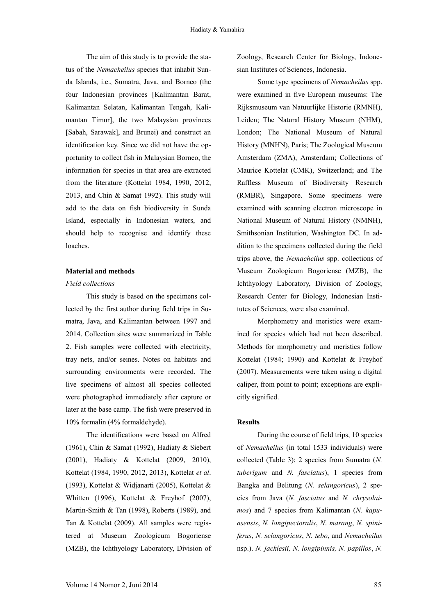The aim of this study is to provide the status of the *Nemacheilus* species that inhabit Sunda Islands, i.e., Sumatra, Java, and Borneo (the four Indonesian provinces [Kalimantan Barat, Kalimantan Selatan, Kalimantan Tengah, Kalimantan Timur], the two Malaysian provinces [Sabah, Sarawak], and Brunei) and construct an identification key. Since we did not have the opportunity to collect fish in Malaysian Borneo, the information for species in that area are extracted from the literature (Kottelat 1984, 1990, 2012, 2013, and Chin & Samat 1992). This study will add to the data on fish biodiversity in Sunda Island, especially in Indonesian waters, and should help to recognise and identify these loaches.

### **Material and methods**

### *Field collections*

This study is based on the specimens collected by the first author during field trips in Sumatra, Java, and Kalimantan between 1997 and 2014. Collection sites were summarized in Table 2. Fish samples were collected with electricity, tray nets, and/or seines. Notes on habitats and surrounding environments were recorded. The live specimens of almost all species collected were photographed immediately after capture or later at the base camp. The fish were preserved in 10% formalin (4% formaldehyde).

The identifications were based on Alfred (1961), Chin & Samat (1992), Hadiaty & Siebert (2001), Hadiaty & Kottelat (2009, 2010), Kottelat (1984, 1990, 2012, 2013), Kottelat *et al*. (1993), Kottelat & Widjanarti (2005), Kottelat & Whitten (1996), Kottelat & Freyhof (2007), Martin-Smith & Tan (1998), Roberts (1989), and Tan & Kottelat (2009). All samples were registered at Museum Zoologicum Bogoriense (MZB), the Ichthyology Laboratory, Division of Zoology, Research Center for Biology, Indonesian Institutes of Sciences, Indonesia.

Some type specimens of *Nemacheilus* spp. were examined in five European museums: The Rijksmuseum van Natuurlijke Historie (RMNH), Leiden; The Natural History Museum (NHM), London; The National Museum of Natural History (MNHN), Paris; The Zoological Museum Amsterdam (ZMA), Amsterdam; Collections of Maurice Kottelat (CMK), Switzerland; and The Raffless Museum of Biodiversity Research (RMBR), Singapore. Some specimens were examined with scanning electron microscope in National Museum of Natural History (NMNH), Smithsonian Institution, Washington DC. In addition to the specimens collected during the field trips above, the *Nemacheilus* spp. collections of Museum Zoologicum Bogoriense (MZB), the Ichthyology Laboratory, Division of Zoology, Research Center for Biology, Indonesian Institutes of Sciences, were also examined.

Morphometry and meristics were examined for species which had not been described. Methods for morphometry and meristics follow Kottelat (1984; 1990) and Kottelat & Freyhof (2007). Measurements were taken using a digital caliper, from point to point; exceptions are explicitly signified.

#### **Results**

During the course of field trips, 10 species of *Nemacheilus* (in total 1533 individuals) were collected (Table 3); 2 species from Sumatra (*N. tuberigum* and *N. fasciatus*), 1 species from Bangka and Belitung (*N. selangoricus*), 2 species from Java (*N. fasciatus* and *N. chrysolaimos*) and 7 species from Kalimantan (*N. kapuasensis*, *N. longipectoralis*, *N*. *marang*, *N. spiniferus*, *N. selangoricus*, *N. tebo*, and *Nemacheilus* nsp.). *N. jacklesii, N. longipinnis, N. papillos*, *N.*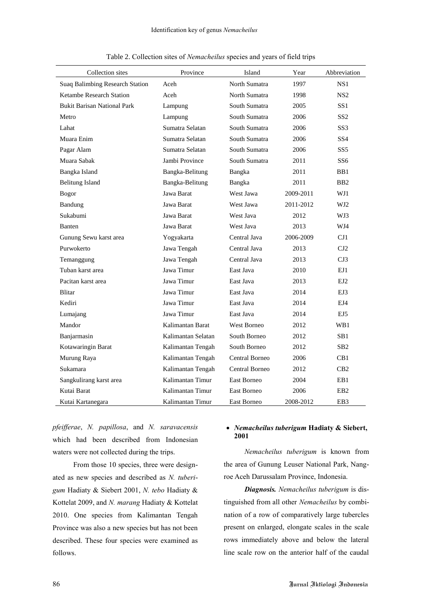| Collection sites                   | Province           | Island         | Year      | Abbreviation    |
|------------------------------------|--------------------|----------------|-----------|-----------------|
| Suaq Balimbing Research Station    | Aceh               | North Sumatra  | 1997      | NS1             |
| Ketambe Research Station           | Aceh               | North Sumatra  | 1998      | NS <sub>2</sub> |
| <b>Bukit Barisan National Park</b> | Lampung            | South Sumatra  | 2005      | SS1             |
| Metro                              | Lampung            | South Sumatra  | 2006      | SS2             |
| Lahat                              | Sumatra Selatan    | South Sumatra  | 2006      | SS3             |
| Muara Enim                         | Sumatra Selatan    | South Sumatra  | 2006      | SS4             |
| Pagar Alam                         | Sumatra Selatan    | South Sumatra  | 2006      | SS5             |
| Muara Sabak                        | Jambi Province     | South Sumatra  | 2011      | SS <sub>6</sub> |
| Bangka Island                      | Bangka-Belitung    | Bangka         | 2011      | BB1             |
| <b>Belitung Island</b>             | Bangka-Belitung    | Bangka         | 2011      | B <sub>B2</sub> |
| <b>Bogor</b>                       | Jawa Barat         | West Jawa      | 2009-2011 | WJ1             |
| Bandung                            | Jawa Barat         | West Jawa      | 2011-2012 | WJ2             |
| Sukabumi                           | Jawa Barat         | West Java      | 2012      | WJ3             |
| Banten                             | Jawa Barat         | West Java      | 2013      | WJ4             |
| Gunung Sewu karst area             | Yogyakarta         | Central Java   | 2006-2009 | CJ1             |
| Purwokerto                         | Jawa Tengah        | Central Java   | 2013      | CJ2             |
| Temanggung                         | Jawa Tengah        | Central Java   | 2013      | CJ3             |
| Tuban karst area                   | Jawa Timur         | East Java      | 2010      | EJ1             |
| Pacitan karst area                 | Jawa Timur         | East Java      | 2013      | EJ2             |
| <b>Blitar</b>                      | Jawa Timur         | East Java      | 2014      | EJ3             |
| Kediri                             | Jawa Timur         | East Java      | 2014      | EJ4             |
| Lumajang                           | Jawa Timur         | East Java      | 2014      | EJ5             |
| Mandor                             | Kalimantan Barat   | West Borneo    | 2012      | WB1             |
| Banjarmasin                        | Kalimantan Selatan | South Borneo   | 2012      | SB1             |
| Kotawaringin Barat                 | Kalimantan Tengah  | South Borneo   | 2012      | SB <sub>2</sub> |
| Murung Raya                        | Kalimantan Tengah  | Central Borneo | 2006      | CB <sub>1</sub> |
| Sukamara                           | Kalimantan Tengah  | Central Borneo | 2012      | CB2             |
| Sangkulirang karst area            | Kalimantan Timur   | East Borneo    | 2004      | EB1             |
| Kutai Barat                        | Kalimantan Timur   | East Borneo    | 2006      | EB <sub>2</sub> |
| Kutai Kartanegara                  | Kalimantan Timur   | East Borneo    | 2008-2012 | EB <sub>3</sub> |

Table 2. Collection sites of *Nemacheilus* species and years of field trips

*pfeifferae*, *N. papillosa*, and *N. saravacensis* which had been described from Indonesian waters were not collected during the trips.

From those 10 species, three were designated as new species and described as *N. tuberigum* Hadiaty & Siebert 2001, *N. tebo* Hadiaty & Kottelat 2009, and *N. marang* Hadiaty & Kottelat 2010. One species from Kalimantan Tengah Province was also a new species but has not been described. These four species were examined as follows.

# *Nemacheilus tuberigum* **Hadiaty & Siebert, 2001**

*Nemacheilus tuberigum* is known from the area of Gunung Leuser National Park, Nangroe Aceh Darussalam Province, Indonesia.

*Diagnosis. Nemacheilus tuberigum* is distinguished from all other *Nemacheilus* by combination of a row of comparatively large tubercles present on enlarged, elongate scales in the scale rows immediately above and below the lateral line scale row on the anterior half of the caudal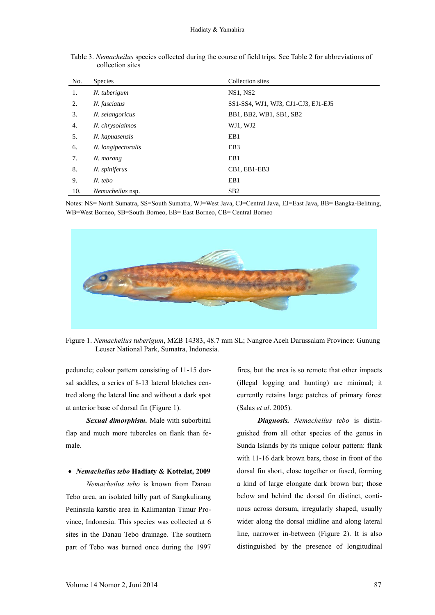| No. | <b>Species</b>     | Collection sites                    |
|-----|--------------------|-------------------------------------|
| 1.  | N. tuberigum       | <b>NS1, NS2</b>                     |
| 2.  | N. fasciatus       | SS1-SS4, WJ1, WJ3, CJ1-CJ3, EJ1-EJ5 |
| 3.  | N. selangoricus    | BB1, BB2, WB1, SB1, SB2             |
| 4.  | N. chrysolaimos    | WJ1, WJ2                            |
| 5.  | N. kapuasensis     | EB1                                 |
| 6.  | N. longipectoralis | EB <sub>3</sub>                     |
| 7.  | N. marang          | EB1                                 |
| 8.  | N. spiniferus      | CB1, EB1-EB3                        |
| 9.  | $N.$ tebo          | EB1                                 |
| 10. | Nemacheilus nsp.   | SB2                                 |

Table 3. *Nemacheilus* species collected during the course of field trips. See Table 2 for abbreviations of collection sites

Notes: NS= North Sumatra, SS=South Sumatra, WJ=West Java, CJ=Central Java, EJ=East Java, BB= Bangka-Belitung, WB=West Borneo, SB=South Borneo, EB= East Borneo, CB= Central Borneo



Figure 1. *Nemacheilus tuberigum*, MZB 14383, 48.7 mm SL; Nangroe Aceh Darussalam Province: Gunung Leuser National Park, Sumatra, Indonesia.

peduncle; colour pattern consisting of 11-15 dorsal saddles, a series of 8-13 lateral blotches centred along the lateral line and without a dark spot at anterior base of dorsal fin (Figure 1).

*Sexual dimorphism.* Male with suborbital flap and much more tubercles on flank than female.

### *Nemacheilus tebo* **Hadiaty & Kottelat, 2009**

*Nemacheilus tebo* is known from Danau Tebo area, an isolated hilly part of Sangkulirang Peninsula karstic area in Kalimantan Timur Province, Indonesia. This species was collected at 6 sites in the Danau Tebo drainage*.* The southern part of Tebo was burned once during the 1997

fires, but the area is so remote that other impacts (illegal logging and hunting) are minimal; it currently retains large patches of primary forest (Salas *et al*. 2005).

*Diagnosis. Nemacheilus tebo* is distinguished from all other species of the genus in Sunda Islands by its unique colour pattern: flank with 11-16 dark brown bars, those in front of the dorsal fin short, close together or fused, forming a kind of large elongate dark brown bar; those below and behind the dorsal fin distinct, continous across dorsum, irregularly shaped, usually wider along the dorsal midline and along lateral line, narrower in-between (Figure 2). It is also distinguished by the presence of longitudinal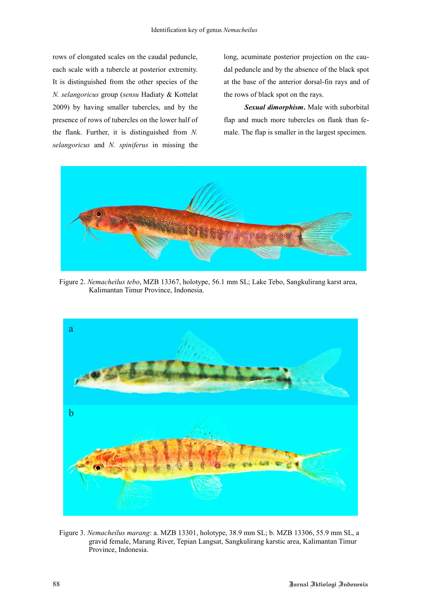rows of elongated scales on the caudal peduncle, each scale with a tubercle at posterior extremity. It is distinguished from the other species of the *N. selangoricus* group (*sensu* Hadiaty & Kottelat 2009) by having smaller tubercles, and by the presence of rows of tubercles on the lower half of the flank. Further, it is distinguished from *N. selangoricus* and *N. spiniferus* in missing the

long, acuminate posterior projection on the caudal peduncle and by the absence of the black spot at the base of the anterior dorsal-fin rays and of the rows of black spot on the rays.

*Sexual dimorphism***.** Male with suborbital flap and much more tubercles on flank than female. The flap is smaller in the largest specimen.



Figure 2. *Nemacheilus tebo*, MZB 13367, holotype, 56.1 mm SL; Lake Tebo, Sangkulirang karst area, Kalimantan Timur Province, Indonesia.



Figure 3. *Nemacheilus marang*: a. MZB 13301, holotype, 38.9 mm SL; b. MZB 13306, 55.9 mm SL, a gravid female, Marang River, Tepian Langsat, Sangkulirang karstic area, Kalimantan Timur Province, Indonesia.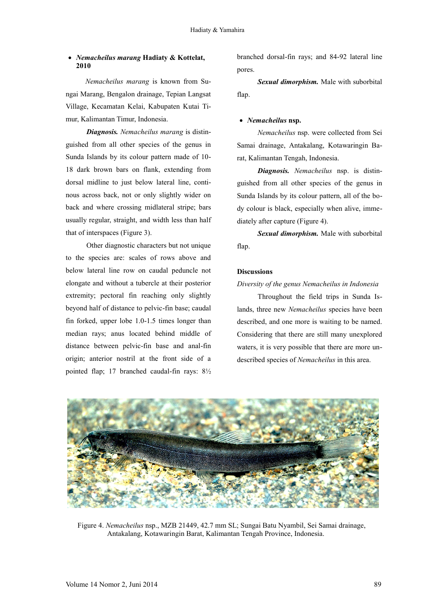### *Nemacheilus marang* **Hadiaty & Kottelat, 2010**

*Nemacheilus marang* is known from Sungai Marang, Bengalon drainage, Tepian Langsat Village, Kecamatan Kelai, Kabupaten Kutai Timur, Kalimantan Timur, Indonesia.

*Diagnosis. Nemacheilus marang* is distinguished from all other species of the genus in Sunda Islands by its colour pattern made of 10- 18 dark brown bars on flank, extending from dorsal midline to just below lateral line, continous across back, not or only slightly wider on back and where crossing midlateral stripe; bars usually regular, straight, and width less than half that of interspaces (Figure 3).

Other diagnostic characters but not unique to the species are: scales of rows above and below lateral line row on caudal peduncle not elongate and without a tubercle at their posterior extremity; pectoral fin reaching only slightly beyond half of distance to pelvic-fin base; caudal fin forked, upper lobe 1.0-1.5 times longer than median rays; anus located behind middle of distance between pelvic-fin base and anal-fin origin; anterior nostril at the front side of a pointed flap; 17 branched caudal-fin rays: 8½

branched dorsal-fin rays; and 84-92 lateral line pores.

*Sexual dimorphism.* Male with suborbital flap.

#### *Nemacheilus* **nsp.**

*Nemacheilus* nsp. were collected from Sei Samai drainage, Antakalang, Kotawaringin Barat, Kalimantan Tengah, Indonesia.

*Diagnosis. Nemacheilus* nsp. is distinguished from all other species of the genus in Sunda Islands by its colour pattern, all of the body colour is black, especially when alive, immediately after capture (Figure 4).

*Sexual dimorphism.* Male with suborbital flap.

### **Discussions**

# *Diversity of the genus Nemacheilus in Indonesia*

Throughout the field trips in Sunda Islands, three new *Nemacheilus* species have been described, and one more is waiting to be named. Considering that there are still many unexplored waters, it is very possible that there are more undescribed species of *Nemacheilus* in this area.



Figure 4. *Nemacheilus* nsp., MZB 21449, 42.7 mm SL; Sungai Batu Nyambil, Sei Samai drainage, Antakalang, Kotawaringin Barat, Kalimantan Tengah Province, Indonesia.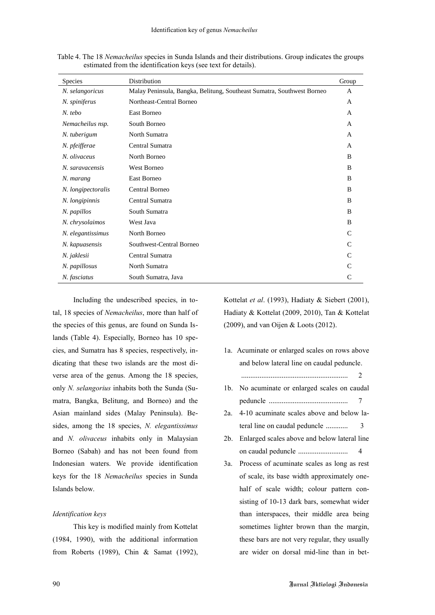| <b>Species</b>     | Distribution                                                           | Group        |
|--------------------|------------------------------------------------------------------------|--------------|
| N. selangoricus    | Malay Peninsula, Bangka, Belitung, Southeast Sumatra, Southwest Borneo | $\mathsf{A}$ |
| N. spiniferus      | Northeast-Central Borneo                                               | A            |
| $N.$ tebo          | East Borneo                                                            | A            |
| Nemacheilus nsp.   | South Borneo                                                           | A            |
| N. tuberigum       | North Sumatra                                                          | A            |
| N. pfeifferae      | Central Sumatra                                                        | $\mathsf{A}$ |
| N. olivaceus       | North Borneo                                                           | B            |
| N. saravacensis    | <b>West Borneo</b>                                                     | B            |
| N. marang          | East Borneo                                                            | B            |
| N. longipectoralis | Central Borneo                                                         | B            |
| N. longipinnis     | Central Sumatra                                                        | B            |
| N. papillos        | South Sumatra                                                          | B            |
| N. chrysolaimos    | West Java                                                              | B            |
| N. elegantissimus  | North Borneo                                                           | C            |
| N. kapuasensis     | Southwest-Central Borneo                                               | $\mathsf{C}$ |
| N. jaklesii        | Central Sumatra                                                        | $\mathsf{C}$ |
| N. papillosus      | North Sumatra                                                          | C            |
| N. fasciatus       | South Sumatra, Java                                                    | C            |

Table 4. The 18 *Nemacheilus* species in Sunda Islands and their distributions. Group indicates the groups estimated from the identification keys (see text for details).

Including the undescribed species, in total, 18 species of *Nemacheilus*, more than half of the species of this genus, are found on Sunda Islands (Table 4). Especially, Borneo has 10 species, and Sumatra has 8 species, respectively, indicating that these two islands are the most diverse area of the genus. Among the 18 species, only *N. selangorius* inhabits both the Sunda (Sumatra, Bangka, Belitung, and Borneo) and the Asian mainland sides (Malay Peninsula). Besides, among the 18 species, *N. elegantissimus* and *N. olivaceus* inhabits only in Malaysian Borneo (Sabah) and has not been found from Indonesian waters. We provide identification keys for the 18 *Nemacheilus* species in Sunda Islands below.

#### *Identification keys*

This key is modified mainly from Kottelat (1984, 1990), with the additional information from Roberts (1989), Chin & Samat (1992),

Kottelat *et al*. (1993), Hadiaty & Siebert (2001), Hadiaty & Kottelat (2009, 2010), Tan & Kottelat (2009), and van Oijen & Loots (2012).

- 1a. Acuminate or enlarged scales on rows above and below lateral line on caudal peduncle.  $\overline{\phantom{a}}$ 1b. No acuminate or enlarged scales on caudal peduncle ........................................... 7 2a. 4-10 acuminate scales above and below lateral line on caudal peduncle ............ 3
- 2b. Enlarged scales above and below lateral line on caudal peduncle ........................... 4
- 3a. Process of acuminate scales as long as rest of scale, its base width approximately onehalf of scale width; colour pattern consisting of 10-13 dark bars, somewhat wider than interspaces, their middle area being sometimes lighter brown than the margin, these bars are not very regular, they usually are wider on dorsal mid-line than in bet-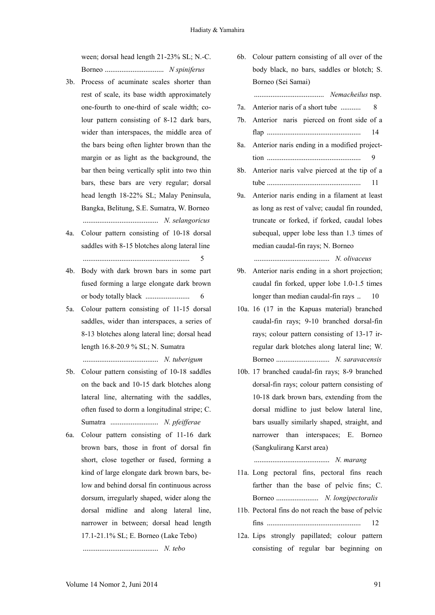ween; dorsal head length 21-23% SL; N.-C. Borneo ................................ *N spiniferus*

- 3b. Process of acuminate scales shorter than rest of scale, its base width approximately one-fourth to one-third of scale width; colour pattern consisting of 8-12 dark bars, wider than interspaces, the middle area of the bars being often lighter brown than the margin or as light as the background, the bar then being vertically split into two thin bars, these bars are very regular; dorsal head length 18-22% SL; Malay Peninsula, Bangka, Belitung, S.E. Sumatra, W. Borneo ......................................... *N. selangoricus*
- 4a. Colour pattern consisting of 10-18 dorsal saddles with 8-15 blotches along lateral line .......................................................... 5
- 4b. Body with dark brown bars in some part fused forming a large elongate dark brown or body totally black ........................ 6
- 5a. Colour pattern consisting of 11-15 dorsal saddles, wider than interspaces, a series of 8-13 blotches along lateral line; dorsal head length 16.8-20.9 % SL; N. Sumatra ......................................... *N. tuberigum*
- 5b. Colour pattern consisting of 10-18 saddles on the back and 10-15 dark blotches along lateral line, alternating with the saddles, often fused to dorm a longitudinal stripe; C. Sumatra .......................... *N. pfeifferae*
- 6a. Colour pattern consisting of 11-16 dark brown bars, those in front of dorsal fin short, close together or fused, forming a kind of large elongate dark brown bars, below and behind dorsal fin continuous across dorsum, irregularly shaped, wider along the dorsal midline and along lateral line, narrower in between; dorsal head length 17.1-21.1% SL; E. Borneo (Lake Tebo)

......................................... *N. tebo*

6b. Colour pattern consisting of all over of the body black, no bars, saddles or blotch; S. Borneo (Sei Samai)

...................................... *Nemacheilus* nsp.

- 7a. Anterior naris of a short tube ........... 8
- 7b. Anterior naris pierced on front side of a flap ................................................... 14
- 8a. Anterior naris ending in a modified projecttion ................................................... 9
- 8b. Anterior naris valve pierced at the tip of a tube ................................................... 11
- 9a. Anterior naris ending in a filament at least as long as rest of valve; caudal fin rounded, truncate or forked, if forked, caudal lobes subequal, upper lobe less than 1.3 times of median caudal-fin rays; N. Borneo

......................................... *N. olivaceus*

- 9b. Anterior naris ending in a short projection; caudal fin forked, upper lobe 1.0-1.5 times longer than median caudal-fin rays .. 10
- 10a. 16 (17 in the Kapuas material) branched caudal-fin rays; 9-10 branched dorsal-fin rays; colour pattern consisting of 13-17 irregular dark blotches along lateral line; W. Borneo ............................. *N. saravacensis*
- 10b. 17 branched caudal-fin rays; 8-9 branched dorsal-fin rays; colour pattern consisting of 10-18 dark brown bars, extending from the dorsal midline to just below lateral line, bars usually similarly shaped, straight, and narrower than interspaces; E. Borneo (Sangkulirang Karst area)

......................................... *N. marang*

- 11a. Long pectoral fins, pectoral fins reach farther than the base of pelvic fins; C. Borneo ....................... *N. longipectoralis*
- 11b. Pectoral fins do not reach the base of pelvic fins ................................................... 12
- 12a. Lips strongly papillated; colour pattern consisting of regular bar beginning on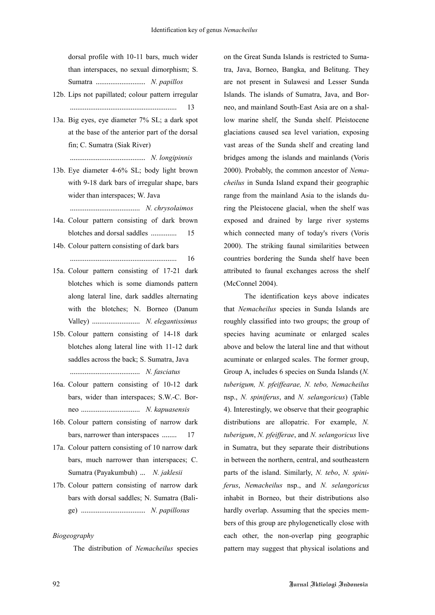dorsal profile with 10-11 bars, much wider than interspaces, no sexual dimorphism; S. Sumatra ........................... *N. papillos*

- 12b. Lips not papillated; colour pattern irregular .......................................................... 13
- 13a. Big eyes, eye diameter 7% SL; a dark spot at the base of the anterior part of the dorsal fin; C. Sumatra (Siak River)

......................................... *N. longipinnis*

13b. Eye diameter 4-6% SL; body light brown with 9-18 dark bars of irregular shape, bars wider than interspaces; W. Java

...................................... *N. chrysolaimos*

- 14a. Colour pattern consisting of dark brown blotches and dorsal saddles .............. 15
- 14b. Colour pattern consisting of dark bars .......................................................... 16
- 15a. Colour pattern consisting of 17-21 dark blotches which is some diamonds pattern along lateral line, dark saddles alternating with the blotches; N. Borneo (Danum Valley) .......................... *N. elegantissimus*
- 15b. Colour pattern consisting of 14-18 dark blotches along lateral line with 11-12 dark saddles across the back; S. Sumatra, Java ...................................... *N. fasciatus*
- 16a. Colour pattern consisting of 10-12 dark bars, wider than interspaces; S.W.-C. Borneo ................................ *N. kapuasensis*
- 16b. Colour pattern consisting of narrow dark bars, narrower than interspaces ........ 17
- 17a. Colour pattern consisting of 10 narrow dark bars, much narrower than interspaces; C. Sumatra (Payakumbuh) ... *N. jaklesii*
- 17b. Colour pattern consisting of narrow dark bars with dorsal saddles; N. Sumatra (Balige) ................................... *N. papillosus*

#### *Biogeography*

The distribution of *Nemacheilus* species

on the Great Sunda Islands is restricted to Sumatra, Java, Borneo, Bangka, and Belitung. They are not present in Sulawesi and Lesser Sunda Islands. The islands of Sumatra, Java, and Borneo, and mainland South-East Asia are on a shallow marine shelf, the Sunda shelf. Pleistocene glaciations caused sea level variation, exposing vast areas of the Sunda shelf and creating land bridges among the islands and mainlands (Voris 2000). Probably, the common ancestor of *Nemacheilus* in Sunda Island expand their geographic range from the mainland Asia to the islands during the Pleistocene glacial, when the shelf was exposed and drained by large river systems which connected many of today's rivers (Voris 2000). The striking faunal similarities between countries bordering the Sunda shelf have been attributed to faunal exchanges across the shelf (McConnel 2004).

The identification keys above indicates that *Nemacheilus* species in Sunda Islands are roughly classified into two groups; the group of species having acuminate or enlarged scales above and below the lateral line and that without acuminate or enlarged scales. The former group, Group A, includes 6 species on Sunda Islands (*N. tuberigum, N. pfeiffearae, N. tebo, Nemacheilus*  nsp., *N. spiniferus*, and *N. selangoricus*) (Table 4). Interestingly, we observe that their geographic distributions are allopatric. For example, *N. tuberigum*, *N. pfeifferae*, and *N. selangoricus* live in Sumatra, but they separate their distributions in between the northern, central, and southeastern parts of the island. Similarly, *N. tebo*, *N. spiniferus*, *Nemacheilus* nsp., and *N. selangoricus* inhabit in Borneo, but their distributions also hardly overlap. Assuming that the species members of this group are phylogenetically close with each other, the non-overlap ping geographic pattern may suggest that physical isolations and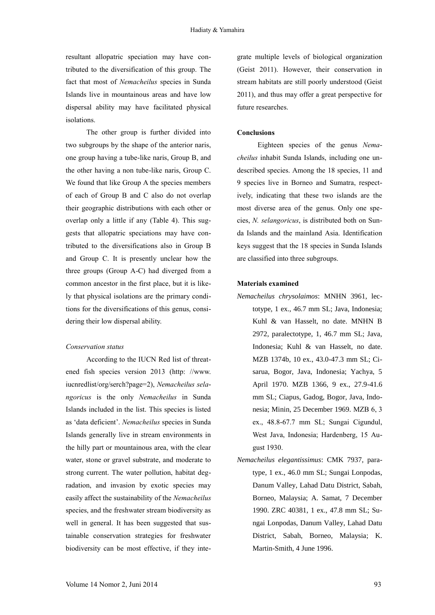resultant allopatric speciation may have contributed to the diversification of this group. The fact that most of *Nemacheilus* species in Sunda Islands live in mountainous areas and have low dispersal ability may have facilitated physical isolations.

The other group is further divided into two subgroups by the shape of the anterior naris, one group having a tube-like naris, Group B, and the other having a non tube-like naris, Group C. We found that like Group A the species members of each of Group B and C also do not overlap their geographic distributions with each other or overlap only a little if any (Table 4). This suggests that allopatric speciations may have contributed to the diversifications also in Group B and Group C. It is presently unclear how the three groups (Group A-C) had diverged from a common ancestor in the first place, but it is likely that physical isolations are the primary conditions for the diversifications of this genus, considering their low dispersal ability.

#### *Conservation status*

According to the IUCN Red list of threatened fish species version 2013 (http: //www. iucnredlist/org/serch?page=2), *Nemacheilus selangoricus* is the only *Nemacheilus* in Sunda Islands included in the list. This species is listed as 'data deficient'. *Nemacheilus* species in Sunda Islands generally live in stream environments in the hilly part or mountainous area, with the clear water, stone or gravel substrate, and moderate to strong current. The water pollution, habitat degradation, and invasion by exotic species may easily affect the sustainability of the *Nemacheilus*  species, and the freshwater stream biodiversity as well in general. It has been suggested that sustainable conservation strategies for freshwater biodiversity can be most effective, if they inte-

grate multiple levels of biological organization (Geist 2011). However, their conservation in stream habitats are still poorly understood (Geist 2011), and thus may offer a great perspective for future researches.

### **Conclusions**

Eighteen species of the genus *Nemacheilus* inhabit Sunda Islands, including one undescribed species. Among the 18 species, 11 and 9 species live in Borneo and Sumatra, respectively, indicating that these two islands are the most diverse area of the genus. Only one species, *N. selangoricus*, is distributed both on Sunda Islands and the mainland Asia. Identification keys suggest that the 18 species in Sunda Islands are classified into three subgroups.

### **Materials examined**

- *Nemacheilus chrysolaimos*: MNHN 3961, lectotype, 1 ex., 46.7 mm SL; Java, Indonesia; Kuhl & van Hasselt, no date. MNHN B 2972, paralectotype, 1, 46.7 mm SL; Java, Indonesia; Kuhl & van Hasselt, no date. MZB 1374b, 10 ex., 43.0-47.3 mm SL; Cisarua, Bogor, Java, Indonesia; Yachya, 5 April 1970. MZB 1366, 9 ex., 27.9-41.6 mm SL; Ciapus, Gadog, Bogor, Java, Indonesia; Minin, 25 December 1969*.* MZB 6, 3 ex., 48.8-67.7 mm SL; Sungai Cigundul, West Java, Indonesia; Hardenberg, 15 August 1930.
- *Nemacheilus elegantissimus*: CMK 7937, paratype, 1 ex., 46.0 mm SL; Sungai Lonpodas, Danum Valley, Lahad Datu District, Sabah, Borneo, Malaysia; A. Samat, 7 December 1990. ZRC 40381, 1 ex., 47.8 mm SL; Sungai Lonpodas, Danum Valley, Lahad Datu District, Sabah, Borneo, Malaysia; K. Martin-Smith, 4 June 1996.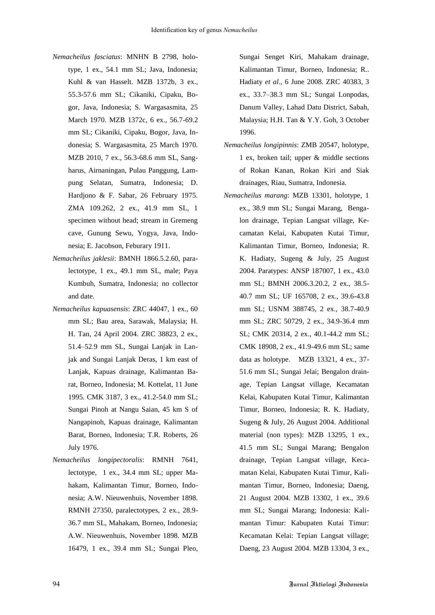- *Nemacheilus fasciatus*: MNHN B 2798, holotype, 1 ex., 54.1 mm SL; Java, Indonesia; Kuhl & van Hasselt. MZB 1372b, 3 ex., 55.3-57.6 mm SL; Cikaniki, Cipaku, Bogor, Java, Indonesia; S. Wargasasmita, 25 March 1970. MZB 1372c, 6 ex., 56.7-69.2 mm SL; Cikaniki, Cipaku, Bogor, Java, Indonesia; S. Wargasasmita, 25 March 1970. MZB 2010, 7 ex., 56.3-68.6 mm SL, Sangharus, Airnaningan, Pulau Panggung, Lampung Selatan, Sumatra, Indonesia; D. Hardjono & F. Sabar, 26 February 1975. ZMA 109.262, 2 ex., 41.9 mm SL, 1 specimen without head; stream in Gremeng cave, Gunung Sewu, Yogya, Java, Indonesia; E. Jacobson, Feburary 1911.
- *Nemacheilus jaklesii*: BMNH 1866.5.2.60, paralectotype, 1 ex., 49.1 mm SL, male; Paya Kumbuh, Sumatra, Indonesia; no collector and date.
- *Nemacheilus kapuasensis*: ZRC 44047, 1 ex., 60 mm SL; Bau area, Sarawak, Malaysia; H. H. Tan, 24 April 2004. ZRC 38823, 2 ex., 51.4–52.9 mm SL, Sungai Lanjak in Lanjak and Sungai Lanjak Deras, 1 km east of Lanjak, Kapuas drainage, Kalimantan Barat, Borneo, Indonesia; M. Kottelat, 11 June 1995. CMK 3187, 3 ex., 41.2-54.0 mm SL; Sungai Pinoh at Nangu Saian, 45 km S of Nangapinoh, Kapuas drainage, Kalimantan Barat, Borneo, Indonesia; T.R. Roberts, 26 July 1976.
- *Nemacheilus longipectoralis*: RMNH 7641, lectotype, 1 ex., 34.4 mm SL; upper Mahakam, Kalimantan Timur, Borneo, Indonesia; A.W. Nieuwenhuis, November 1898. RMNH 27350, paralectotypes, 2 ex., 28.9- 36.7 mm SL, Mahakam, Borneo, Indonesia; A.W. Nieuwenhuis, November 1898. MZB 16479, 1 ex., 39.4 mm SL; Sungai Pleo,

Sungai Senget Kiri, Mahakam drainage, Kalimantan Timur, Borneo, Indonesia; R.. Hadiaty *et al*., 6 June 2008. ZRC 40383, 3 ex., 33.7–38.3 mm SL; Sungai Lonpodas, Danum Valley, Lahad Datu District, Sabah, Malaysia; H.H. Tan & Y.Y. Goh, 3 October 1996.

- *Nemacheilus longipinnis*: ZMB 20547, holotype, 1 ex, broken tail; upper & middle sections of Rokan Kanan, Rokan Kiri and Siak drainages, Riau, Sumatra, Indonesia.
- *Nemacheilus marang*: MZB 13301, holotype, 1 ex., 38.9 mm SL; Sungai Marang, Bengalon drainage, Tepian Langsat village, Kecamatan Kelai, Kabupaten Kutai Timur, Kalimantan Timur, Borneo, Indonesia; R. K. Hadiaty, Sugeng & July, 25 August 2004. Paratypes: ANSP 187007, 1 ex., 43.0 mm SL; BMNH 2006.3.20.2, 2 ex., 38.5- 40.7 mm SL; UF 165708, 2 ex., 39.6-43.8 mm SL; USNM 388745, 2 ex., 38.7-40.9 mm SL; ZRC 50729, 2 ex., 34.9-36.4 mm SL; CMK 20314, 2 ex., 40.1-44.2 mm SL; CMK 18908, 2 ex., 41.9-49.6 mm SL; same data as holotype. MZB 13321, 4 ex., 37- 51.6 mm SL; Sungai Jelai; Bengalon drainage, Tepian Langsat village, Kecamatan Kelai, Kabupaten Kutai Timur, Kalimantan Timur, Borneo, Indonesia; R. K. Hadiaty, Sugeng & July, 26 August 2004. Additional material (non types): MZB 13295, 1 ex., 41.5 mm SL; Sungai Marang; Bengalon drainage, Tepian Langsat village, Kecamatan Kelai, Kabupaten Kutai Timur, Kalimantan Timur, Borneo, Indonesia; Daeng, 21 August 2004. MZB 13302, 1 ex., 39.6 mm SL; Sungai Marang; Indonesia: Kalimantan Timur: Kabupaten Kutai Timur: Kecamatan Kelai: Tepian Langsat village; Daeng, 23 August 2004. MZB 13304, 3 ex.,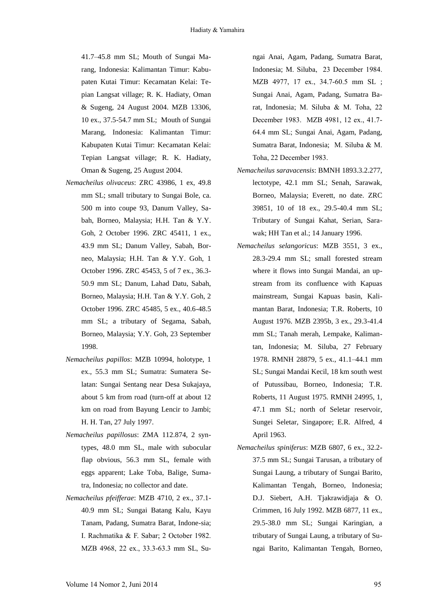41.7–45.8 mm SL; Mouth of Sungai Marang, Indonesia: Kalimantan Timur: Kabupaten Kutai Timur: Kecamatan Kelai: Tepian Langsat village; R. K. Hadiaty, Oman & Sugeng, 24 August 2004. MZB 13306, 10 ex., 37.5-54.7 mm SL; Mouth of Sungai Marang, Indonesia: Kalimantan Timur: Kabupaten Kutai Timur: Kecamatan Kelai: Tepian Langsat village; R. K. Hadiaty, Oman & Sugeng, 25 August 2004.

- *Nemacheilus olivaceus*: ZRC 43986, 1 ex, 49.8 mm SL; small tributary to Sungai Bole, ca. 500 m into coupe 93, Danum Valley, Sabah, Borneo, Malaysia; H.H. Tan & Y.Y. Goh, 2 October 1996. ZRC 45411, 1 ex., 43.9 mm SL; Danum Valley, Sabah, Borneo, Malaysia; H.H. Tan & Y.Y. Goh, 1 October 1996. ZRC 45453, 5 of 7 ex., 36.3- 50.9 mm SL; Danum, Lahad Datu, Sabah, Borneo, Malaysia; H.H. Tan & Y.Y. Goh, 2 October 1996. ZRC 45485, 5 ex., 40.6-48.5 mm SL; a tributary of Segama, Sabah, Borneo, Malaysia; Y.Y. Goh, 23 September 1998.
- *Nemacheilus papillos*: MZB 10994, holotype, 1 ex., 55.3 mm SL; Sumatra: Sumatera Selatan: Sungai Sentang near Desa Sukajaya, about 5 km from road (turn-off at about 12 km on road from Bayung Lencir to Jambi; H. H. Tan, 27 July 1997.
- *Nemacheilus papillosus*: ZMA 112.874, 2 syntypes, 48.0 mm SL, male with subocular flap obvious, 56.3 mm SL, female with eggs apparent; Lake Toba, Balige, Sumatra, Indonesia; no collector and date.
- *Nemacheilus pfeifferae*: MZB 4710, 2 ex., 37.1- 40.9 mm SL; Sungai Batang Kalu, Kayu Tanam, Padang, Sumatra Barat, Indone-sia; I. Rachmatika & F. Sabar; 2 October 1982. MZB 4968, 22 ex., 33.3-63.3 mm SL, Su-

ngai Anai, Agam, Padang, Sumatra Barat, Indonesia; M. Siluba, 23 December 1984. MZB 4977, 17 ex., 34.7-60.5 mm SL ; Sungai Anai, Agam, Padang, Sumatra Barat, Indonesia; M. Siluba & M. Toha, 22 December 1983. MZB 4981, 12 ex., 41.7- 64.4 mm SL; Sungai Anai, Agam, Padang, Sumatra Barat, Indonesia; M. Siluba & M. Toha, 22 December 1983.

- *Nemacheilus saravacensis*: BMNH 1893.3.2.277, lectotype, 42.1 mm SL; Senah, Sarawak, Borneo, Malaysia; Everett, no date. ZRC 39851, 10 of 18 ex., 29.5-40.4 mm SL; Tributary of Sungai Kahat, Serian, Sarawak; HH Tan et al.; 14 January 1996.
- *Nemacheilus selangoricus*: MZB 3551, 3 ex., 28.3-29.4 mm SL; small forested stream where it flows into Sungai Mandai, an upstream from its confluence with Kapuas mainstream, Sungai Kapuas basin, Kalimantan Barat, Indonesia; T.R. Roberts, 10 August 1976. MZB 2395b, 3 ex., 29.3-41.4 mm SL; Tanah merah, Lempake, Kalimantan, Indonesia; M. Siluba, 27 February 1978. RMNH 28879, 5 ex., 41.1–44.1 mm SL; Sungai Mandai Kecil, 18 km south west of Putussibau, Borneo, Indonesia; T.R. Roberts, 11 August 1975. RMNH 24995, 1, 47.1 mm SL; north of Seletar reservoir, Sungei Seletar, Singapore; E.R. Alfred, 4 April 1963.
- *Nemacheilus spiniferus*: MZB 6807, 6 ex., 32.2- 37.5 mm SL; Sungai Tarusan, a tributary of Sungai Laung, a tributary of Sungai Barito, Kalimantan Tengah, Borneo, Indonesia; D.J. Siebert, A.H. Tjakrawidjaja & O. Crimmen, 16 July 1992. MZB 6877, 11 ex., 29.5-38.0 mm SL; Sungai Karingian, a tributary of Sungai Laung, a tributary of Sungai Barito, Kalimantan Tengah, Borneo,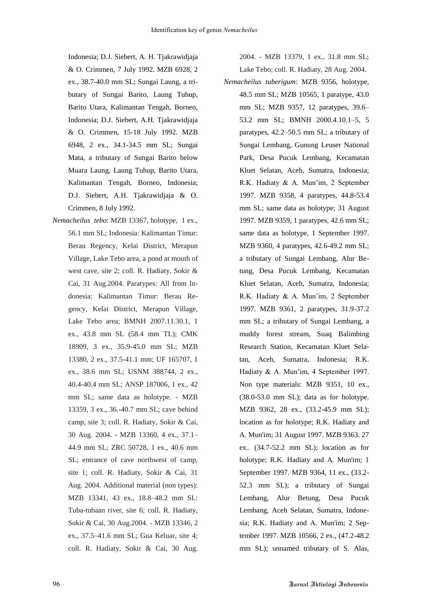Indonesia; D.J. Siebert, A. H. Tjakrawidjaja & O. Crimmen, 7 July 1992. MZB 6928, 2 ex., 38.7-40.0 mm SL; Sungai Laung, a tributary of Sungai Barito, Laung Tuhup, Barito Utara, Kalimantan Tengah, Borneo, Indonesia; D.J. Siebert, A.H. Tjakrawidjaja & O. Crimmen, 15-18 July 1992. MZB 6948, 2 ex., 34.1-34.5 mm SL; Sungai Mata, a tributary of Sungai Barito below Muara Laung, Laung Tuhup, Barito Utara, Kalimantan Tengah, Borneo, Indonesia; D.J. Siebert, A.H. Tjakrawidjaja & O. Crimmen, 8 July 1992.

*Nemacheilus tebo*: MZB 13367, holotype, 1 ex., 56.1 mm SL; Indonesia: Kalimantan Timur: Berau Regency, Kelai District, Merapun Village, Lake Tebo area, a pond at mouth of west cave, site 2; coll. R. Hadiaty, Sokir & Cai, 31 Aug.2004. Paratypes: All from Indonesia: Kalimantan Timur: Berau Regency, Kelai District, Merapun Village, Lake Tebo area; BMNH 2007.11.30.1, 1 ex., 43.8 mm SL (58.4 mm TL); CMK 18909, 3 ex., 35.9-45.0 mm SL; MZB 13380, 2 ex., 37.5-41.1 mm; UF 165707, 1 ex., 38.6 mm SL; USNM 388744, 2 ex., 40.4-40.4 mm SL; ANSP 187006, 1 ex., 42 mm SL; same data as holotype. - MZB 13359, 3 ex., 36.-40.7 mm SL; cave behind camp, site 3; coll. R. Hadiaty, Sokir & Cai, 30 Aug. 2004. - MZB 13360, 4 ex., 37.1– 44.9 mm SL; ZRC 50728, 1 ex., 40.6 mm SL; entrance of cave northwest of camp, site 1; coll. R. Hadiaty, Sokir & Cai, 31 Aug. 2004. Additional material (non types): MZB 13341, 43 ex., 18.8–48.2 mm SL: Tuba-tubaan river, site 6; coll. R. Hadiaty, Sokir & Cai, 30 Aug.2004. - MZB 13346, 2 ex., 37.5–41.6 mm SL; Gua Keluar, site 4; coll. R. Hadiaty, Sokir & Cai, 30 Aug.

2004. - MZB 13379, 1 ex., 31.8 mm SL; Lake Tebo; coll. R. Hadiaty, 28 Aug. 2004.

*Nemacheilus tuberigum*: MZB 9356, holotype, 48.5 mm SL; MZB 10565, 1 paratype, 43.0 mm SL; MZB 9357, 12 paratypes, 39.6– 53.2 mm SL; BMNH 2000.4.10.1–5, 5 paratypes, 42.2–50.5 mm SL; a tributary of Sungai Lembang, Gunung Leuser National Park, Desa Pucuk Lembang, Kecamatan Kluet Selatan, Aceh, Sumatra, Indonesia; R.K. Hadiaty & A. Mun'im, 2 September 1997. MZB 9358, 4 paratypes, 44.8-53.4 mm SL; same data as holotype; 31 August 1997. MZB 9359, 1 paratypes, 42.6 mm SL; same data as holotype, 1 September 1997. MZB 9360, 4 paratypes, 42.6-49.2 mm SL; a tributary of Sungai Lembang, Alur Betung, Desa Pucuk Lembang, Kecamatan Kluet Selatan, Aceh, Sumatra, Indonesia; R.K. Hadiaty & A. Mun'im, 2 September 1997. MZB 9361, 2 paratypes, 31.9-37.2 mm SL; a tributary of Sungai Lembang, a muddy forest stream, Suaq Balimbing Research Station, Kecamatan Kluet Selatan, Aceh, Sumatra, Indonesia; R.K. Hadiaty & A. Mun'im, 4 September 1997. Non type materials: MZB 9351, 10 ex., (38.0-53.0 mm SL); data as for holotype. MZB 9362, 28 ex., (33.2-45.9 mm SL); location as for holotype; R.K. Hadiaty and A. Mun'im; 31 August 1997. MZB 9363. 27 ex.. (34.7-52.2 mm SL); location as for holotype: R.K. Hadiaty and A. Mun'im; 1 September 1997. MZB 9364, 11 ex., (33.2- 52.3 mm SL); a tributary of Sungai Lembang, Alur Betung, Desa Pucuk Lembang, Aceh Selatan, Sumatra, Indonesia; R.K. Hadiaty and A. Mun'im; 2 September 1997. MZB 10566, 2 ex., (47.2-48.2 mm SL); unnamed tributary of S. Alas,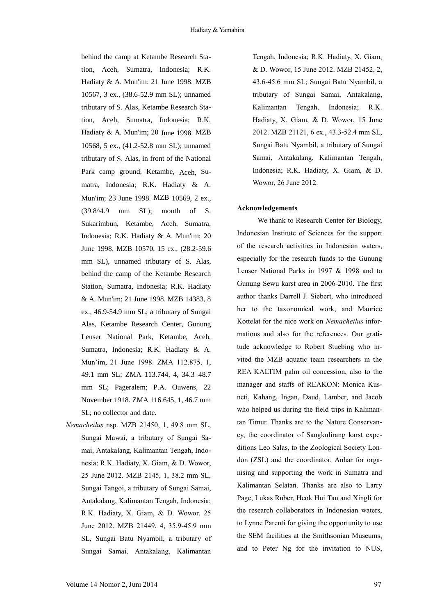behind the camp at Ketambe Research Station, Aceh, Sumatra, Indonesia; R.K. Hadiaty & A. Mun'im: 21 June 1998. MZB 10567, 3 ex., (38.6-52.9 mm SL); unnamed tributary of S. Alas, Ketambe Research Station, Aceh, Sumatra, Indonesia; R.K. Hadiaty & A. Mun'im; 20 June 1998. MZB 10568, 5 ex., (41.2-52.8 mm SL); unnamed tributary of S. Alas, in front of the National Park camp ground, Ketambe, Aceh, Sumatra, Indonesia; R.K. Hadiaty & A. Mun'im; 23 June 1998. MZB 10569, 2 ex., (39.8^4.9 mm SL); mouth of S. Sukarimbun, Ketambe, Aceh, Sumatra, Indonesia; R.K. Hadiaty & A. Mun'im; 20 June 1998. MZB 10570, 15 ex., (28.2-59.6 mm SL), unnamed tributary of S. Alas, behind the camp of the Ketambe Research Station, Sumatra, Indonesia; R.K. Hadiaty & A. Mun'im; 21 June 1998. MZB 14383, 8 ex., 46.9-54.9 mm SL; a tributary of Sungai Alas, Ketambe Research Center, Gunung Leuser National Park, Ketambe, Aceh, Sumatra, Indonesia; R.K. Hadiaty & A. Mun'im, 21 June 1998. ZMA 112.875, 1, 49.1 mm SL; ZMA 113.744, 4, 34.3–48.7 mm SL; Pageralem; P.A. Ouwens, 22 November 1918. ZMA 116.645, 1, 46.7 mm SL; no collector and date.

*Nemacheilus* nsp. MZB 21450, 1, 49.8 mm SL, Sungai Mawai, a tributary of Sungai Samai, Antakalang, Kalimantan Tengah, Indonesia; R.K. Hadiaty, X. Giam, & D. Wowor, 25 June 2012. MZB 2145, 1, 38.2 mm SL, Sungai Tangoi, a tributary of Sungai Samai, Antakalang, Kalimantan Tengah, Indonesia; R.K. Hadiaty, X. Giam, & D. Wowor, 25 June 2012. MZB 21449, 4, 35.9-45.9 mm SL, Sungai Batu Nyambil, a tributary of Sungai Samai, Antakalang, Kalimantan

Tengah, Indonesia; R.K. Hadiaty, X. Giam, & D. Wowor, 15 June 2012. MZB 21452, 2, 43.6-45.6 mm SL; Sungai Batu Nyambil, a tributary of Sungai Samai, Antakalang, Kalimantan Tengah, Indonesia; R.K. Hadiaty, X. Giam, & D. Wowor, 15 June 2012. MZB 21121, 6 ex., 43.3-52.4 mm SL, Sungai Batu Nyambil, a tributary of Sungai Samai, Antakalang, Kalimantan Tengah, Indonesia; R.K. Hadiaty, X. Giam, & D. Wowor, 26 June 2012.

### **Acknowledgements**

We thank to Research Center for Biology, Indonesian Institute of Sciences for the support of the research activities in Indonesian waters, especially for the research funds to the Gunung Leuser National Parks in 1997 & 1998 and to Gunung Sewu karst area in 2006-2010. The first author thanks Darrell J. Siebert, who introduced her to the taxonomical work, and Maurice Kottelat for the nice work on *Nemacheilus* informations and also for the references. Our gratitude acknowledge to Robert Stuebing who invited the MZB aquatic team researchers in the REA KALTIM palm oil concession, also to the manager and staffs of REAKON: Monica Kusneti, Kahang, Ingan, Daud, Lamber, and Jacob who helped us during the field trips in Kalimantan Timur. Thanks are to the Nature Conservancy, the coordinator of Sangkulirang karst expeditions Leo Salas, to the Zoological Society London (ZSL) and the coordinator, Anhar for organising and supporting the work in Sumatra and Kalimantan Selatan. Thanks are also to Larry Page, Lukas Ruber, Heok Hui Tan and Xingli for the research collaborators in Indonesian waters, to Lynne Parenti for giving the opportunity to use the SEM facilities at the Smithsonian Museums, and to Peter Ng for the invitation to NUS,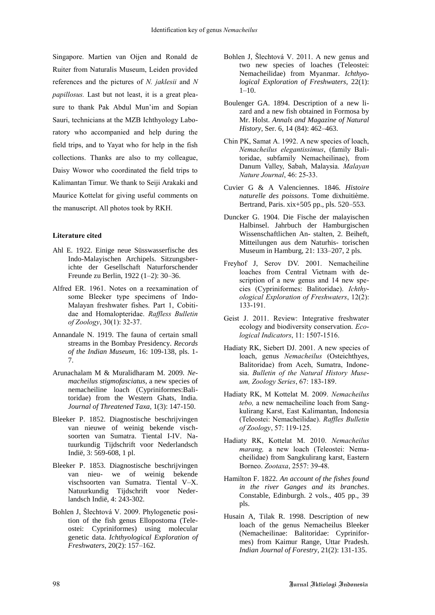Singapore. Martien van Oijen and Ronald de Ruiter from Naturalis Museum, Leiden provided references and the pictures of *N. jaklesii* and *N papillosus.* Last but not least, it is a great pleasure to thank Pak Abdul Mun'im and Sopian Sauri, technicians at the MZB Ichthyology Laboratory who accompanied and help during the field trips, and to Yayat who for help in the fish collections. Thanks are also to my colleague, Daisy Wowor who coordinated the field trips to Kalimantan Timur. We thank to Seiji Arakaki and Maurice Kottelat for giving useful comments on the manuscript. All photos took by RKH.

### **Literature cited**

- Ahl E. 1922. Einige neue Süsswasserfische des Indo-Malayischen Archipels. Sitzungsberichte der Gesellschaft Naturforschender Freunde zu Berlin, 1922 (1–2): 30–36.
- Alfred ER. 1961. Notes on a reexamination of some Bleeker type specimens of Indo-Malayan freshwater fishes. Part 1, Cobitidae and Homalopteridae. *Raffless Bulletin of Zoology*, 30(1): 32-37.
- Annandale N. 1919. The fauna of certain small streams in the Bombay Presidency. *Records of the Indian Museum,* 16: 109-138, pls. 1- 7.
- Arunachalam M & Muralidharam M. 2009. *Nemacheilus stigmofasciatus*, a new species of nemacheiline loach (Cypriniformes:Balitoridae) from the Western Ghats, India. *Journal of Threatened Taxa,* 1(3): 147-150.
- Bleeker P. 1852. Diagnostische beschrijvingen van nieuwe of weinig bekende vischsoorten van Sumatra. Tiental I-IV. Natuurkundig Tijdschrift voor Nederlandsch Indië, 3: 569-608, 1 pl.
- Bleeker P. 1853. Diagnostische beschrijvingen van nieu- we of weinig bekende vischsoorten van Sumatra. Tiental V–X. Natuurkundig Tijdschrift voor Nederlandsch Indië, 4: 243-302.
- Bohlen J, Šlechtová V. 2009. Phylogenetic position of the fish genus Ellopostoma (Teleostei: Cypriniformes) using molecular genetic data. *Ichthyological Exploration of Freshwaters*, 20(2): 157–162.
- Bohlen J, Šlechtová V. 2011. A new genus and two new species of loaches (Teleostei: Nemacheilidae) from Myanmar. *Ichthyological Exploration of Freshwaters*, 22(1):  $1 - 10$ .
- Boulenger GA. 1894. Description of a new lizard and a new fish obtained in Formosa by Mr. Holst. *Annals and Magazine of Natural History*, Ser. 6, 14 (84): 462–463.
- Chin PK, Samat A. 1992. A new species of loach, *Nemacheilus elegantissimus*, (family Balitoridae, subfamily Nemacheilinae), from Danum Valley, Sabah, Malaysia. *Malayan Nature Journal*, 46: 25-33.
- Cuvier G & A Valenciennes. 1846. *Histoire naturelle des poissons*. Tome dixhuitième. Bertrand, Paris. xix+505 pp., pls. 520–553.
- Duncker G. 1904. Die Fische der malayischen Halbinsel. Jahrbuch der Hamburgischen Wissenschaftlichen An- stalten, 2. Beiheft, Mitteilungen aus dem Naturhis- torischen Museum in Hamburg, 21: 133–207, 2 pls.
- Freyhof J, Serov DV. 2001. Nemacheiline loaches from Central Vietnam with description of a new genus and 14 new species (Cypriniformes: Balitoridae). *Ichthyological Exploration of Freshwaters*, 12(2): 133-191.
- Geist J. 2011. Review: Integrative freshwater ecology and biodiversity conservation. *Ecological Indicators*, 11: 1507-1516.
- Hadiaty RK, Siebert DJ. 2001. A new species of loach, genus *Nemacheilus* (Osteichthyes, Balitoridae) from Aceh, Sumatra, Indonesia. *Bulletin of the Natural History Museum, Zoology Series*, 67: 183-189.
- Hadiaty RK, M Kottelat M. 2009. *Nemacheilus tebo,* a new nemacheiline loach from Sangkulirang Karst, East Kalimantan, Indonesia (Teleostei: Nemacheilidae). *Raffles Bulletin of Zoology*, 57: 119-125.
- Hadiaty RK, Kottelat M. 2010. *Nemacheilus marang,* a new loach (Teleostei: Nemacheilidae) from Sangkulirang karst, Eastern Borneo. *Zootaxa*, 2557: 39-48.
- Hamilton F. 1822. *An account of the fishes found in the river Ganges and its branches*. Constable, Edinburgh. 2 vols., 405 pp., 39 pls.
- Husain A, Tilak R. 1998. Description of new loach of the genus Nemacheilus Bleeker (Nemacheilinae: Balitoridae: Cypriniformes) from Kaimur Range, Uttar Pradesh. *Indian Journal of Forestry*, 21(2): 131-135.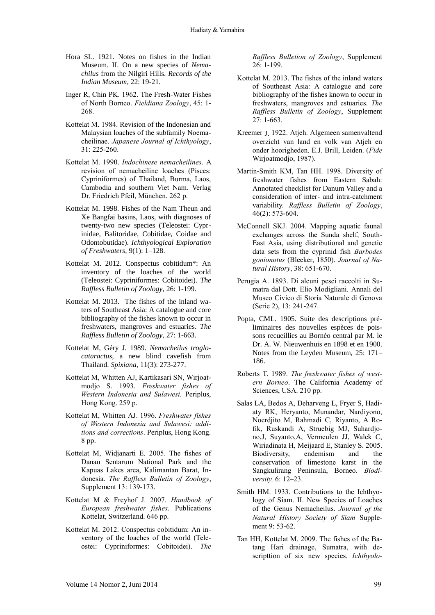- Hora SL. 1921. Notes on fishes in the Indian Museum. II. On a new species of *Nemachilus* from the Nilgiri Hills. *Records of the Indian Museum*, 22: 19-21.
- Inger R, Chin PK. 1962. The Fresh-Water Fishes of North Borneo. *Fieldiana Zoology*, 45: 1- 268.
- Kottelat M. 1984. Revision of the Indonesian and Malaysian loaches of the subfamily Noemacheilinae. *Japanese Journal of Ichthyology*, 31: 225-260.
- Kottelat M. 1990. *Indochinese nemacheilines*. A revision of nemacheiline loaches (Pisces: Cypriniformes) of Thailand, Burma, Laos, Cambodia and southern Viet Nam. Verlag Dr. Friedrich Pfeil, München. 262 p.
- Kottelat M. 1998. Fishes of the Nam Theun and Xe Bangfai basins, Laos, with diagnoses of twenty-two new species (Teleostei: Cyprinidae, Balitoridae, Cobitidae, Coidae and Odontobutidae)*. Ichthyological Exploration of Freshwaters*, 9(1): 1–128.
- Kottelat M. 2012. Conspectus cobitidum\*: An inventory of the loaches of the world (Teleostei: Cypriniformes: Cobitoidei). *The Raffless Bulletin of Zoology,* 26: 1-199.
- Kottelat M. 2013. The fishes of the inland waters of Southeast Asia: A catalogue and core bibliography of the fishes known to occur in freshwaters, mangroves and estuaries. *The Raffless Bulletin of Zoology,* 27: 1-663.
- Kottelat M, Géry J. 1989. *Nemacheilus troglocataractus*, a new blind cavefish from Thailand. *Spixiana*, 11(3): 273-277.
- Kottelat M, Whitten AJ, Kartikasari SN, Wirjoatmodjo S. 1993. *Freshwater fishes of Western Indonesia and Sulawesi.* Periplus, Hong Kong. 259 p.
- Kottelat M, Whitten AJ. 1996. *Freshwater fishes of Western Indonesia and Sulawesi: additions and corrections*. Periplus, Hong Kong. 8 pp.
- Kottelat M, Widjanarti E. 2005. The fishes of Danau Sentarum National Park and the Kapuas Lakes area, Kalimantan Barat, Indonesia. *The Raffless Bulletin of Zoology*, Supplement 13: 139-173.
- Kottelat M & Freyhof J. 2007. *Handbook of European freshwater fishes*. Publications Kottelat, Switzerland. 646 pp.
- Kottelat M. 2012. Conspectus cobitidum: An inventory of the loaches of the world (Teleostei: Cypriniformes: Cobitoidei). *The*

*Raffless Bulletion of Zoology*, Supplement 26: 1-199.

- Kottelat M. 2013. The fishes of the inland waters of Southeast Asia: A catalogue and core bibliography of the fishes known to occur in freshwaters, mangroves and estuaries. *The Raffless Bulletin of Zoology*, Supplement  $27:1-663.$
- Kreemer J. 1922. Atjeh. Algemeen samenvaltend overzicht van land en volk van Atjeh en onder hoorigheden. E.J. Brill, Leiden. (*Fide* Wirjoatmodjo, 1987).
- Martin-Smith KM, Tan HH. 1998. Diversity of freshwater fishes from Eastern Sabah: Annotated checklist for Danum Valley and a consideration of inter- and intra-catchment variability. *Raffless Bulletin of Zoology*, 46(2): 573-604.
- McConnell SKJ. 2004. Mapping aquatic faunal exchanges across the Sunda shelf, South-East Asia, using distributional and genetic data sets from the cyprinid fish *Barbodes gonionotus* (Bleeker, 1850). *Journal of Natural History*, 38: 651-670.
- Perugia A. 1893. Di alcuni pesci raccolti in Sumatra dal Dott. Elio Modigliani. Annali del Museo Civico di Storia Naturale di Genova (Serie 2), 13: 241-247.
- Popta, CML. 1905. Suite des descriptions préliminaires des nouvelles espèces de poissons recueillies au Bornéo central par M. le Dr. A. W. Nieuwenhuis en 1898 et en 1900. Notes from the Leyden Museum, 25: 171– 186.
- Roberts T. 1989. *The freshwater fishes of western Borneo*. The California Academy of Sciences, USA. 210 pp.
- Salas LA, Bedos A, Deharveng L, Fryer S, Hadiaty RK, Heryanto, Munandar, Nardiyono, Noerdjito M, Rahmadi C, Riyanto, A Rofik, Ruskandi A, Struebig MJ, Suhardjono,J, Suyanto,A, Vermeulen JJ, Walck C, Wiriadinata H, Meijaard E, Stanley S. 2005. Biodiversity, endemism and the conservation of limestone karst in the Sangkulirang Peninsula, Borneo. *Biodiversity,* 6: 12–23.
- Smith HM. 1933. Contributions to the Ichthyology of Siam. II. New Species of Loaches of the Genus Nemacheilus. *Journal of the Natural History Society of Siam* Supplement 9: 53-62.
- Tan HH, Kottelat M. 2009. The fishes of the Batang Hari drainage, Sumatra, with descripttion of six new species. *Ichthyolo-*